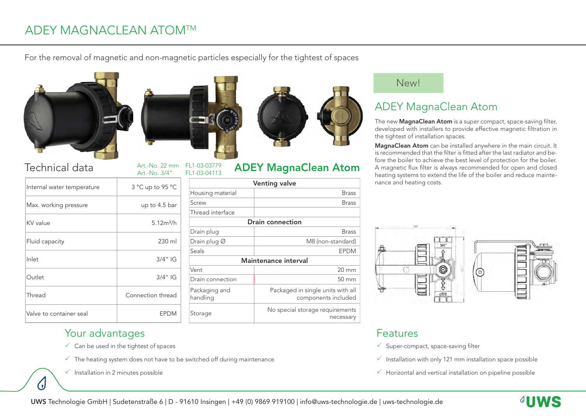# ADEY MAGNACLEAN ATOMTM

For the removal of magnetic and non-magnetic particles especially for the tightest of spaces





Art.-No. 3/4"

## Technical data Art.-No. 22 mm FL1-03-03779 **ADEY MagnaClean Atom**

 $\left( \cdot \right)$ 

| Internal water temperature | 3 °C up to 95 °C      |
|----------------------------|-----------------------|
| Max. working pressure      | up to 4.5 bar         |
| KV value                   | 5.12m <sup>3</sup> /h |
| Fluid capacity             | $230 \mathrm{ml}$     |
| Inlet                      | $3/4$ " IG            |
| Outlet                     | $3/4$ " IG            |
| Thread                     | Connection thread     |
| Valve to container seal    | FPDM                  |



### Art.-No. 22 mm FL1-03-03779

| <b>Venting valve</b>      |                                                          |  |
|---------------------------|----------------------------------------------------------|--|
| Housing material          | <b>Brass</b>                                             |  |
| Screw                     | <b>Brass</b>                                             |  |
| Thread interface          |                                                          |  |
| <b>Drain connection</b>   |                                                          |  |
| Drain plug                | <b>Brass</b>                                             |  |
| Drain plug $\varnothing$  | M8 (non-standard)                                        |  |
| Seals                     | <b>FPDM</b>                                              |  |
| Maintenance interval      |                                                          |  |
| Vent                      | $20 \text{ mm}$                                          |  |
| Drain connection          | $50 \text{ mm}$                                          |  |
| Packaging and<br>handling | Packaged in single units with all<br>components included |  |
| Storage                   | No special storage requirements<br>necessary             |  |

#### New!

## ADEY MagnaClean Atom

The new MagnaClean Atom is a super compact, space-saving filter, developed with installers to provide effective magnetic filtration in the tightest of installation spaces.

MagnaClean Atom can be installed anywhere in the main circuit. It is recommended that the filter is fitted after the last radiator and before the boiler to achieve the best level of protection for the boiler. A magnetic flux filter is always recommended for open and closed heating systems to extend the life of the boiler and reduce maintenance and heating costs.



#### Features

- $\checkmark$  Super-compact, space-saving filter
- $\checkmark$  Installation with only 121 mm installation space possible
- $\checkmark$  Horizontal and vertical installation on pipeline possible

### Your advantages

- $\checkmark$  Can be used in the tightest of spaces
- $\checkmark$  The heating system does not have to be switched off during maintenance
- $\checkmark$  Installation in 2 minutes possible